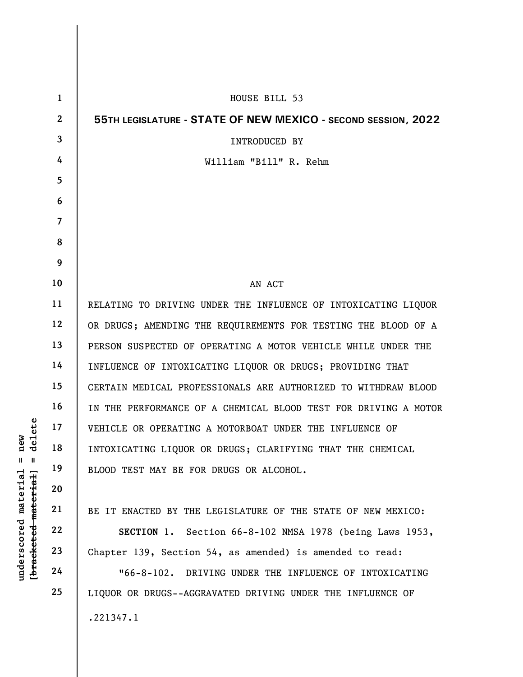|                                    | $\mathbf{1}$   | HOUSE BILL 53                                                   |
|------------------------------------|----------------|-----------------------------------------------------------------|
|                                    | $\overline{2}$ | 55TH LEGISLATURE - STATE OF NEW MEXICO - SECOND SESSION, 2022   |
|                                    | 3              | <b>INTRODUCED BY</b>                                            |
|                                    | 4              | William "Bill" R. Rehm                                          |
|                                    | 5              |                                                                 |
|                                    | 6              |                                                                 |
|                                    | $\overline{7}$ |                                                                 |
|                                    | 8              |                                                                 |
|                                    | 9              |                                                                 |
|                                    | 10             | AN ACT                                                          |
|                                    | 11             | RELATING TO DRIVING UNDER THE INFLUENCE OF INTOXICATING LIQUOR  |
|                                    | 12             | OR DRUGS; AMENDING THE REQUIREMENTS FOR TESTING THE BLOOD OF A  |
|                                    | 13             | PERSON SUSPECTED OF OPERATING A MOTOR VEHICLE WHILE UNDER THE   |
|                                    | 14             | INFLUENCE OF INTOXICATING LIQUOR OR DRUGS; PROVIDING THAT       |
|                                    | 15             | CERTAIN MEDICAL PROFESSIONALS ARE AUTHORIZED TO WITHDRAW BLOOD  |
|                                    | 16             | IN THE PERFORMANCE OF A CHEMICAL BLOOD TEST FOR DRIVING A MOTOR |
| elete                              | 17             | VEHICLE OR OPERATING A MOTORBOAT UNDER THE INFLUENCE OF         |
| new<br>ರ                           | 18             | INTOXICATING LIQUOR OR DRUGS; CLARIFYING THAT THE CHEMICAL      |
| Ш<br>Ш                             | 19             | BLOOD TEST MAY BE FOR DRUGS OR ALCOHOL.                         |
| $\mathtt{mateerial}$               | 20             |                                                                 |
|                                    | 21             | BE IT ENACTED BY THE LEGISLATURE OF THE STATE OF NEW MEXICO:    |
|                                    | 22             | SECTION 1. Section 66-8-102 NMSA 1978 (being Laws 1953,         |
|                                    | 23             | Chapter 139, Section 54, as amended) is amended to read:        |
| [bracketed material<br>underscored | 24             | "66-8-102. DRIVING UNDER THE INFLUENCE OF INTOXICATING          |
|                                    | 25             | LIQUOR OR DRUGS--AGGRAVATED DRIVING UNDER THE INFLUENCE OF      |
|                                    |                | .221347.1                                                       |
|                                    |                |                                                                 |

 $\mathbf{I}$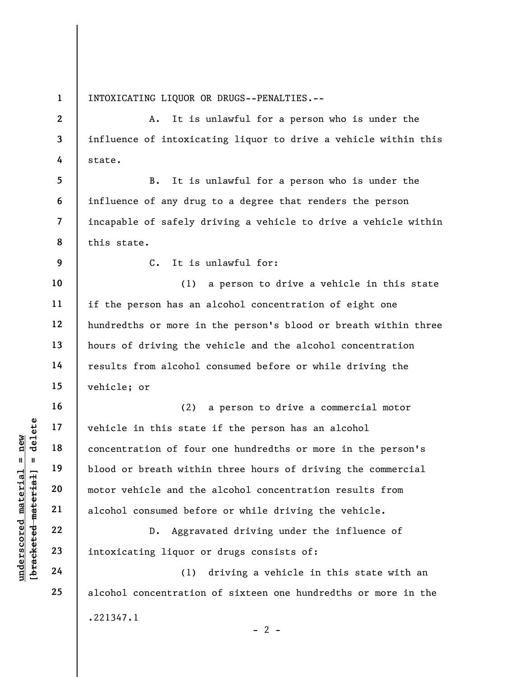INTOXICATING LIQUOR OR DRUGS--PENALTIES.--

2 3 4 A. It is unlawful for a person who is under the influence of intoxicating liquor to drive a vehicle within this state.

5 6 7 8 B. It is unlawful for a person who is under the influence of any drug to a degree that renders the person incapable of safely driving a vehicle to drive a vehicle within this state.

9

16

17

18

19

20

21

22

23

24

25

1

C. It is unlawful for:

10 11 12 13 14 15 (1) a person to drive a vehicle in this state if the person has an alcohol concentration of eight one hundredths or more in the person's blood or breath within three hours of driving the vehicle and the alcohol concentration results from alcohol consumed before or while driving the vehicle; or

understand material end the state<br>  $\begin{array}{c|c|c} \n\text{u} & \text{u} & \text{u} & \text{u} & \text{u} & \text{u} & \text{u} & \text{u} & \text{u} & \text{u} & \text{u} & \text{u} & \text{u} & \text{u} & \text{u} & \text{u} & \text{u} & \text{u} & \text{u} & \text{u} & \text{u} & \text{u} & \text{u} & \text{u} & \text{u} & \text{u} & \text{u} & \text{u} & \text{u}$ (2) a person to drive a commercial motor vehicle in this state if the person has an alcohol concentration of four one hundredths or more in the person's blood or breath within three hours of driving the commercial motor vehicle and the alcohol concentration results from alcohol consumed before or while driving the vehicle.

D. Aggravated driving under the influence of intoxicating liquor or drugs consists of:

(1) driving a vehicle in this state with an alcohol concentration of sixteen one hundredths or more in the .221347.1  $- 2 -$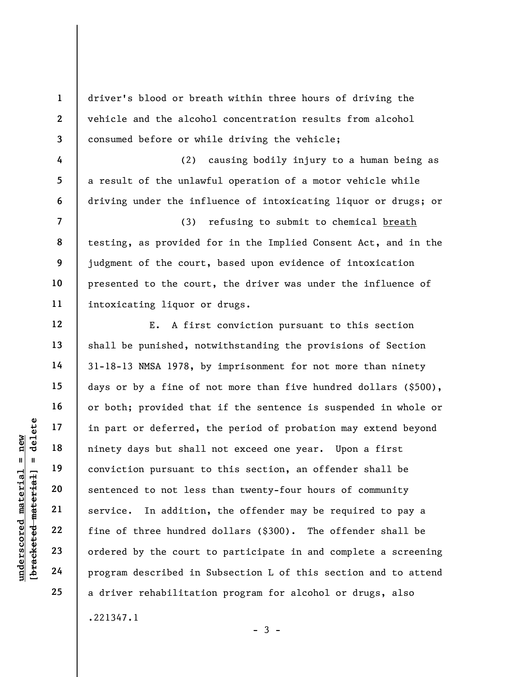driver's blood or breath within three hours of driving the vehicle and the alcohol concentration results from alcohol consumed before or while driving the vehicle;

(2) causing bodily injury to a human being as a result of the unlawful operation of a motor vehicle while driving under the influence of intoxicating liquor or drugs; or

(3) refusing to submit to chemical breath testing, as provided for in the Implied Consent Act, and in the judgment of the court, based upon evidence of intoxication presented to the court, the driver was under the influence of intoxicating liquor or drugs.

understand material material effects of three hundred material conviction pursuant to sentenced to not less<br>dependence and sentenced to not less<br>gradient and service. In addition<br>in the bundred ordered by the court<br>program E. A first conviction pursuant to this section shall be punished, notwithstanding the provisions of Section 31-18-13 NMSA 1978, by imprisonment for not more than ninety days or by a fine of not more than five hundred dollars (\$500), or both; provided that if the sentence is suspended in whole or in part or deferred, the period of probation may extend beyond ninety days but shall not exceed one year. Upon a first conviction pursuant to this section, an offender shall be sentenced to not less than twenty-four hours of community service. In addition, the offender may be required to pay a fine of three hundred dollars (\$300). The offender shall be ordered by the court to participate in and complete a screening program described in Subsection L of this section and to attend a driver rehabilitation program for alcohol or drugs, also .221347.1

1

2

3

4

5

6

7

8

9

10

11

12

13

14

15

16

17

18

19

20

21

22

23

24

25

 $-3 -$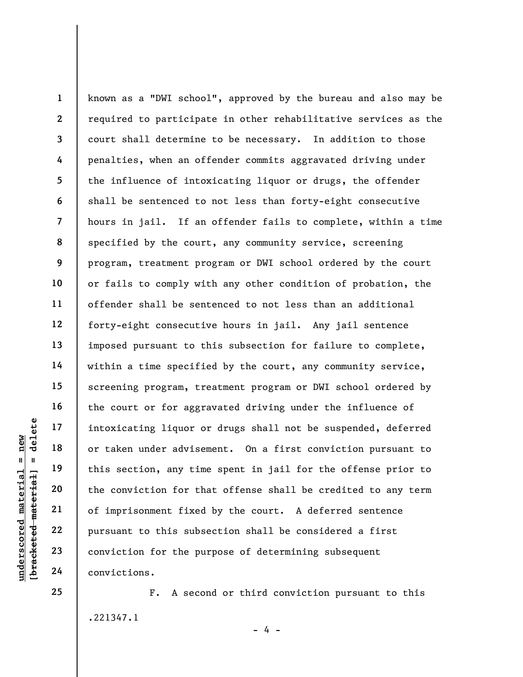underscored material = new [bracketed material] = delete 1 2 3 4 5 6 7 8 9 10 11 12 13 14 15 16 17 18 19 20 21 22 23 24 known as a "DWI school", approved by the bureau and also may be required to participate in other rehabilitative services as the court shall determine to be necessary. In addition to those penalties, when an offender commits aggravated driving under the influence of intoxicating liquor or drugs, the offender shall be sentenced to not less than forty-eight consecutive hours in jail. If an offender fails to complete, within a time specified by the court, any community service, screening program, treatment program or DWI school ordered by the court or fails to comply with any other condition of probation, the offender shall be sentenced to not less than an additional forty-eight consecutive hours in jail. Any jail sentence imposed pursuant to this subsection for failure to complete, within a time specified by the court, any community service, screening program, treatment program or DWI school ordered by the court or for aggravated driving under the influence of intoxicating liquor or drugs shall not be suspended, deferred or taken under advisement. On a first conviction pursuant to this section, any time spent in jail for the offense prior to the conviction for that offense shall be credited to any term of imprisonment fixed by the court. A deferred sentence pursuant to this subsection shall be considered a first conviction for the purpose of determining subsequent convictions.

> F. A second or third conviction pursuant to this .221347.1

> > $- 4 -$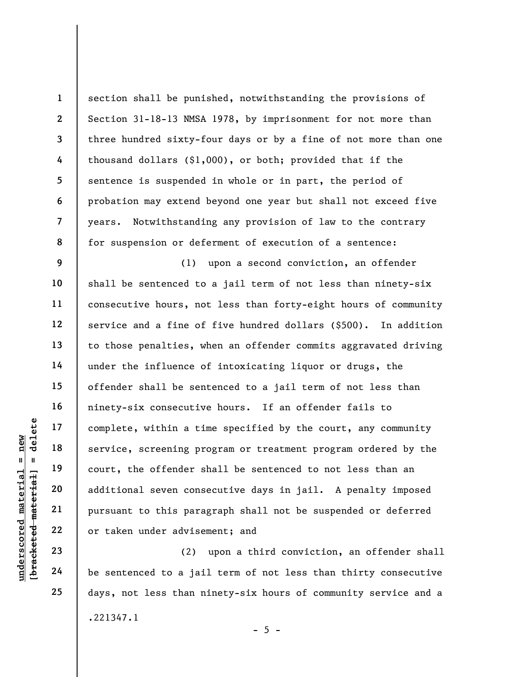2 3 8 section shall be punished, notwithstanding the provisions of Section 31-18-13 NMSA 1978, by imprisonment for not more than three hundred sixty-four days or by a fine of not more than one thousand dollars (\$1,000), or both; provided that if the sentence is suspended in whole or in part, the period of probation may extend beyond one year but shall not exceed five years. Notwithstanding any provision of law to the contrary for suspension or deferment of execution of a sentence:

understand material extend material service, screening pr<br>
understand material service, screening pr<br>
court, the offender s<br>
additional seven cons<br>
pursuant to this para<br>
22<br>
23<br>
24<br>
24<br>
29<br>
29<br>
29<br>
29<br>
29<br>
29<br>
29<br>
29<br>
29<br> (1) upon a second conviction, an offender shall be sentenced to a jail term of not less than ninety-six consecutive hours, not less than forty-eight hours of community service and a fine of five hundred dollars (\$500). In addition to those penalties, when an offender commits aggravated driving under the influence of intoxicating liquor or drugs, the offender shall be sentenced to a jail term of not less than ninety-six consecutive hours. If an offender fails to complete, within a time specified by the court, any community service, screening program or treatment program ordered by the court, the offender shall be sentenced to not less than an additional seven consecutive days in jail. A penalty imposed pursuant to this paragraph shall not be suspended or deferred or taken under advisement; and

(2) upon a third conviction, an offender shall be sentenced to a jail term of not less than thirty consecutive days, not less than ninety-six hours of community service and a .221347.1

1

4

5

6

7

9

10

11

12

13

14

15

16

17

18

19

20

21

22

23

24

25

 $- 5 -$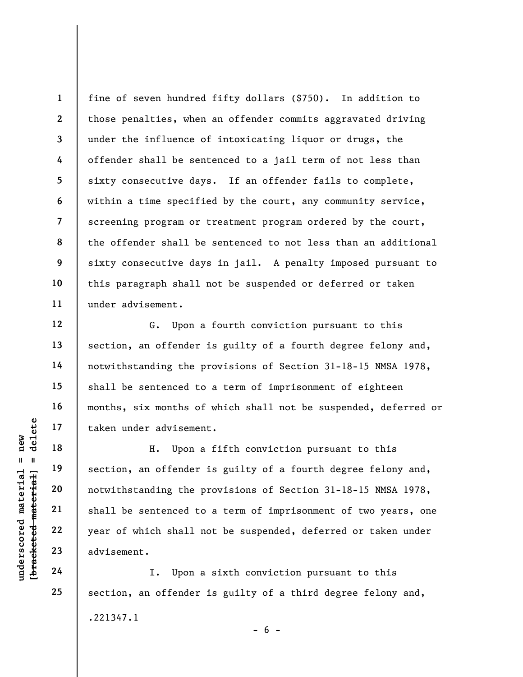8 fine of seven hundred fifty dollars (\$750). In addition to those penalties, when an offender commits aggravated driving under the influence of intoxicating liquor or drugs, the offender shall be sentenced to a jail term of not less than sixty consecutive days. If an offender fails to complete, within a time specified by the court, any community service, screening program or treatment program ordered by the court, the offender shall be sentenced to not less than an additional sixty consecutive days in jail. A penalty imposed pursuant to this paragraph shall not be suspended or deferred or taken under advisement.

G. Upon a fourth conviction pursuant to this section, an offender is guilty of a fourth degree felony and, notwithstanding the provisions of Section 31-18-15 NMSA 1978, shall be sentenced to a term of imprisonment of eighteen months, six months of which shall not be suspended, deferred or taken under advisement.

under advisement<br>
under a dvisement<br>
material energy of the sentenced to<br>
under the sentenced to<br>
under the sentenced to<br>
under the sentenced to<br>
under the sentenced to<br>
under the sentenced to<br>
23<br>
24<br>
1. Upon a H. Upon a fifth conviction pursuant to this section, an offender is guilty of a fourth degree felony and, notwithstanding the provisions of Section 31-18-15 NMSA 1978, shall be sentenced to a term of imprisonment of two years, one year of which shall not be suspended, deferred or taken under advisement.

I. Upon a sixth conviction pursuant to this section, an offender is guilty of a third degree felony and, .221347.1  $- 6 -$ 

1

2

3

4

5

6

7

9

10

11

12

13

14

15

16

17

18

19

20

21

22

23

24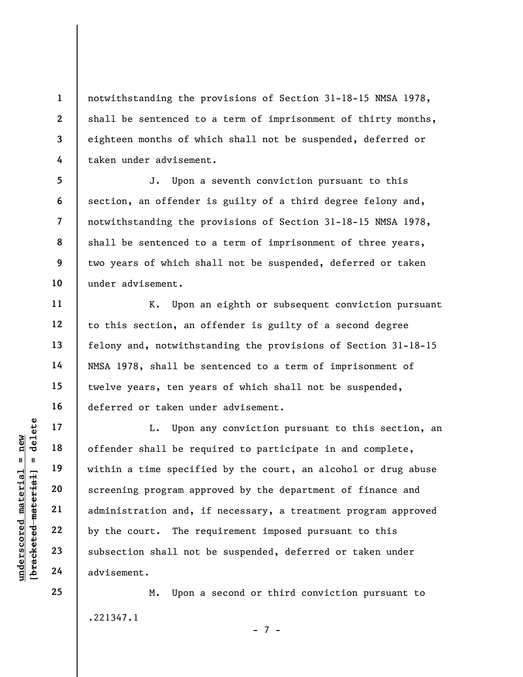notwithstanding the provisions of Section 31-18-15 NMSA 1978, shall be sentenced to a term of imprisonment of thirty months, eighteen months of which shall not be suspended, deferred or taken under advisement.

J. Upon a seventh conviction pursuant to this section, an offender is guilty of a third degree felony and, notwithstanding the provisions of Section 31-18-15 NMSA 1978, shall be sentenced to a term of imprisonment of three years, two years of which shall not be suspended, deferred or taken under advisement.

K. Upon an eighth or subsequent conviction pursuant to this section, an offender is guilty of a second degree felony and, notwithstanding the provisions of Section 31-18-15 NMSA 1978, shall be sentenced to a term of imprisonment of twelve years, ten years of which shall not be suspended, deferred or taken under advisement.

underscored material = new [bracketed material] = delete L. Upon any conviction pursuant to this section, an offender shall be required to participate in and complete, within a time specified by the court, an alcohol or drug abuse screening program approved by the department of finance and administration and, if necessary, a treatment program approved by the court. The requirement imposed pursuant to this subsection shall not be suspended, deferred or taken under advisement.

> M. Upon a second or third conviction pursuant to .221347.1 - 7 -

25

1

2

3

4

5

6

7

8

9

10

11

12

13

14

15

16

17

18

19

20

21

22

23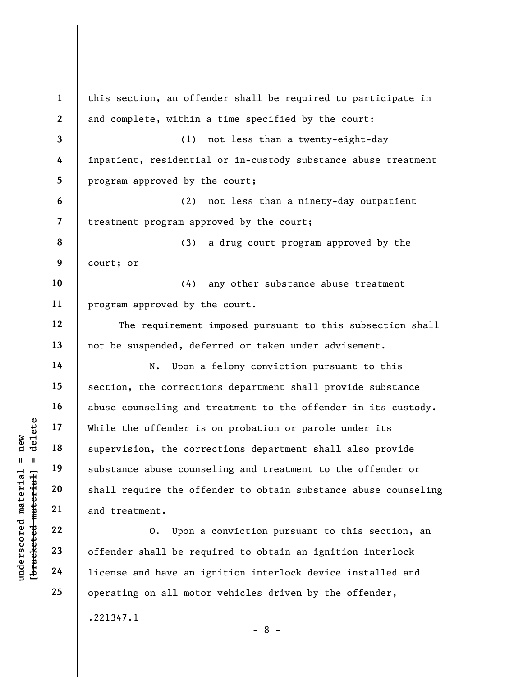| $\mathbf{1}$ |                                                     | this section, an offender shall be required to participate in                          |
|--------------|-----------------------------------------------------|----------------------------------------------------------------------------------------|
|              | $\mathbf{2}$                                        | and complete, within a time specified by the court:                                    |
|              | 3                                                   | not less than a twenty-eight-day<br>(1)                                                |
|              | 4                                                   | inpatient, residential or in-custody substance abuse treatment                         |
|              | 5                                                   | program approved by the court;                                                         |
|              | 6                                                   | not less than a ninety-day outpatient<br>(2)                                           |
|              | $\overline{7}$                                      | treatment program approved by the court;                                               |
|              | 8                                                   | (3)<br>a drug court program approved by the                                            |
|              | 9                                                   | court; or                                                                              |
|              |                                                     | (4)<br>any other substance abuse treatment                                             |
|              |                                                     | program approved by the court.                                                         |
|              |                                                     | The requirement imposed pursuant to this subsection shall                              |
|              |                                                     | not be suspended, deferred or taken under advisement.                                  |
|              |                                                     | Upon a felony conviction pursuant to this<br>N.                                        |
|              |                                                     | section, the corrections department shall provide substance                            |
|              |                                                     | abuse counseling and treatment to the offender in its custody.                         |
|              |                                                     | While the offender is on probation or parole under its                                 |
|              |                                                     | supervision, the corrections department shall also provide                             |
|              | 19                                                  | substance abuse counseling and treatment to the offender or                            |
|              |                                                     | shall require the offender to obtain substance abuse counseling                        |
|              |                                                     | and treatment.                                                                         |
|              |                                                     | Upon a conviction pursuant to this section, an<br>0.                                   |
|              |                                                     | offender shall be required to obtain an ignition interlock                             |
|              |                                                     | license and have an ignition interlock device installed and                            |
|              |                                                     | operating on all motor vehicles driven by the offender,                                |
|              | delete<br>- 11<br>[ <del>bracketed material</del> ] | 10<br>11<br>12<br>13<br>14<br>15<br>16<br>17<br>18<br>20<br>21<br>22<br>23<br>24<br>25 |

.221347.1

- 8 -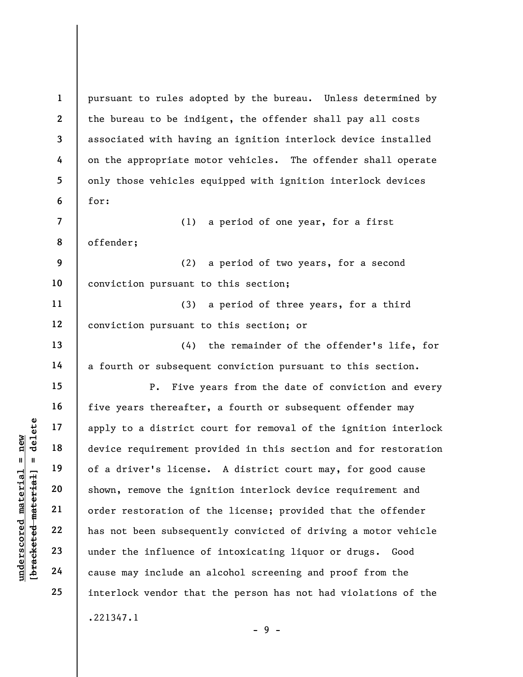underscored material = new [bracketed material] = delete 1 2 3 4 5 6 7 8 9 10 11 12 13 14 15 16 17 18 19 20 21 22 23 24 25 pursuant to rules adopted by the bureau. Unless determined by the bureau to be indigent, the offender shall pay all costs associated with having an ignition interlock device installed on the appropriate motor vehicles. The offender shall operate only those vehicles equipped with ignition interlock devices for: (1) a period of one year, for a first offender; (2) a period of two years, for a second conviction pursuant to this section; (3) a period of three years, for a third conviction pursuant to this section; or (4) the remainder of the offender's life, for a fourth or subsequent conviction pursuant to this section. P. Five years from the date of conviction and every five years thereafter, a fourth or subsequent offender may apply to a district court for removal of the ignition interlock device requirement provided in this section and for restoration of a driver's license. A district court may, for good cause shown, remove the ignition interlock device requirement and order restoration of the license; provided that the offender has not been subsequently convicted of driving a motor vehicle under the influence of intoxicating liquor or drugs. Good cause may include an alcohol screening and proof from the interlock vendor that the person has not had violations of the .221347.1  $-9 -$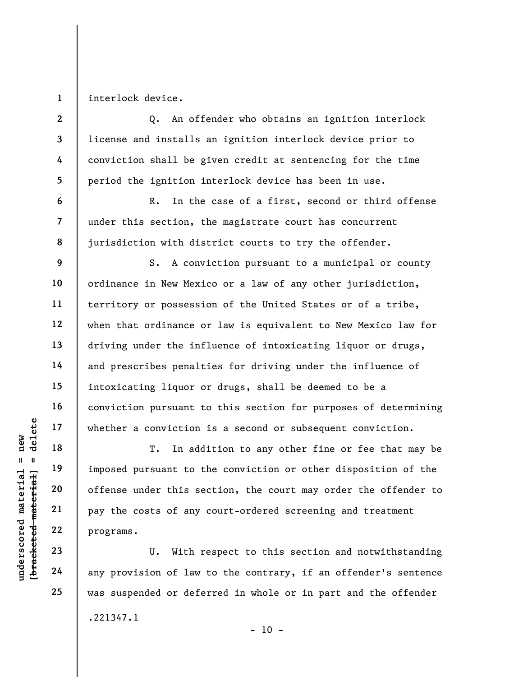1 interlock device.

2

3

4

5

6

7

8

9

10

11

12

13

14

15

16

17

18

19

20

21

22

23

24

25

Q. An offender who obtains an ignition interlock license and installs an ignition interlock device prior to conviction shall be given credit at sentencing for the time period the ignition interlock device has been in use.

R. In the case of a first, second or third offense under this section, the magistrate court has concurrent jurisdiction with district courts to try the offender.

S. A conviction pursuant to a municipal or county ordinance in New Mexico or a law of any other jurisdiction, territory or possession of the United States or of a tribe, when that ordinance or law is equivalent to New Mexico law for driving under the influence of intoxicating liquor or drugs, and prescribes penalties for driving under the influence of intoxicating liquor or drugs, shall be deemed to be a conviction pursuant to this section for purposes of determining whether a conviction is a second or subsequent conviction.

understand material material end of tensor of tensor<br>
understand material materials of tensor<br>
where a conviction<br>
T. In add<br>
imposed pursuant to the<br>
offense under this see<br>
21<br>
pay the costs of any<br>
22<br>
programs.<br>
U. Wit T. In addition to any other fine or fee that may be imposed pursuant to the conviction or other disposition of the offense under this section, the court may order the offender to pay the costs of any court-ordered screening and treatment programs.

U. With respect to this section and notwithstanding any provision of law to the contrary, if an offender's sentence was suspended or deferred in whole or in part and the offender .221347.1  $- 10 -$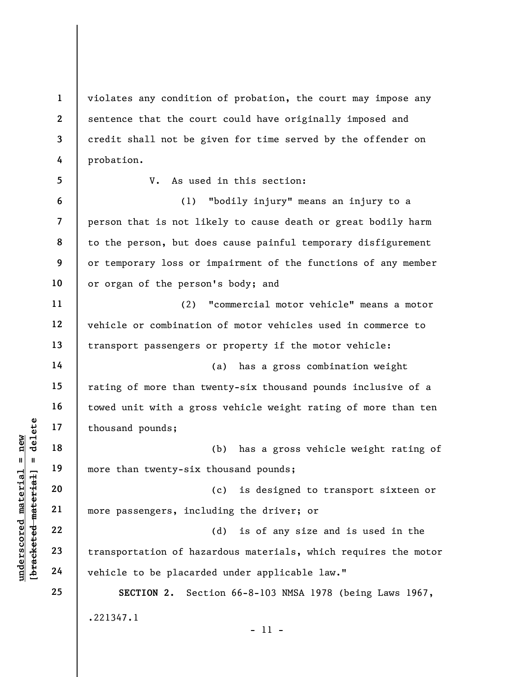1 2 3 4 violates any condition of probation, the court may impose any sentence that the court could have originally imposed and credit shall not be given for time served by the offender on probation.

person that is not likely to cause death or great bodily harm

to the person, but does cause painful temporary disfigurement

or temporary loss or impairment of the functions of any member

vehicle or combination of motor vehicles used in commerce to

rating of more than twenty-six thousand pounds inclusive of a

towed unit with a gross vehicle weight rating of more than ten

transport passengers or property if the motor vehicle:

(1) "bodily injury" means an injury to a

(2) "commercial motor vehicle" means a motor

(a) has a gross combination weight

(b) has a gross vehicle weight rating of

(c) is designed to transport sixteen or

(d) is of any size and is used in the

V. As used in this section:

or organ of the person's body; and

more than twenty-six thousand pounds;

more passengers, including the driver; or

thousand pounds;

5

23

22

24 25

underscored material = new [bracketed material] = delete transportation of hazardous materials, which requires the motor vehicle to be placarded under applicable law." SECTION 2. Section 66-8-103 NMSA 1978 (being Laws 1967, .221347.1

- 11 -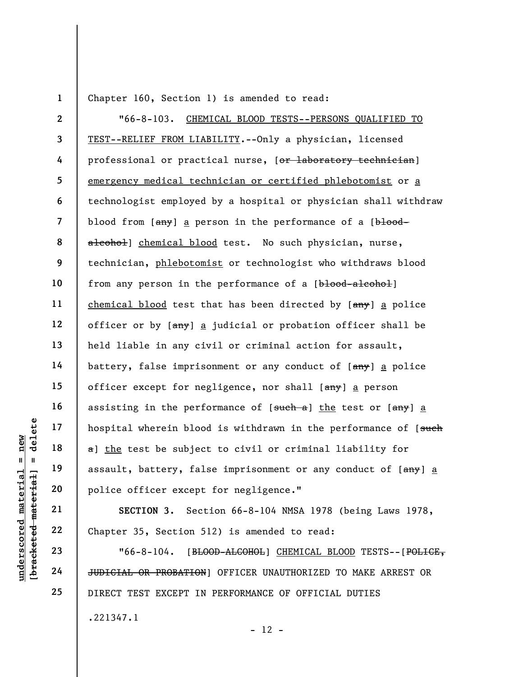1

Chapter 160, Section 1) is amended to read:

underschied material engineers of the subject of the subject of the subject of the subject of the subject of the subject of the subject of the subject of the subject of the subject of the subject of the subject of the subj 2 3 4 5 6 7 8 9 10 11 12 13 14 15 16 17 18 19 20 "66-8-103. CHEMICAL BLOOD TESTS--PERSONS QUALIFIED TO TEST--RELIEF FROM LIABILITY.--Only a physician, licensed professional or practical nurse, [or laboratory technician] emergency medical technician or certified phlebotomist or a technologist employed by a hospital or physician shall withdraw blood from  $\lceil \frac{any}{n} \rceil$  a person in the performance of a  $\lceil \frac{b\cdot1}{b\cdot1} \rceil$ alcohol] chemical blood test. No such physician, nurse, technician, phlebotomist or technologist who withdraws blood from any person in the performance of a [blood-alcohol] chemical blood test that has been directed by  $\{a_n\}$  a police officer or by  $\left[\frac{amy}{a}\right]$  a judicial or probation officer shall be held liable in any civil or criminal action for assault, battery, false imprisonment or any conduct of  $[amy]$  a police officer except for negligence, nor shall  $[am\overline{y}]$  a person assisting in the performance of  $[$ such a] the test or  $[$ any] a hospital wherein blood is withdrawn in the performance of [such a] the test be subject to civil or criminal liability for assault, battery, false imprisonment or any conduct of [any] a police officer except for negligence."

SECTION 3. Section 66-8-104 NMSA 1978 (being Laws 1978, Chapter 35, Section 512) is amended to read:

"66-8-104. [BLOOD-ALCOHOL] CHEMICAL BLOOD TESTS--[POLICE, JUDICIAL OR PROBATION] OFFICER UNAUTHORIZED TO MAKE ARREST OR DIRECT TEST EXCEPT IN PERFORMANCE OF OFFICIAL DUTIES .221347.1

 $- 12 -$ 

21

22

23

24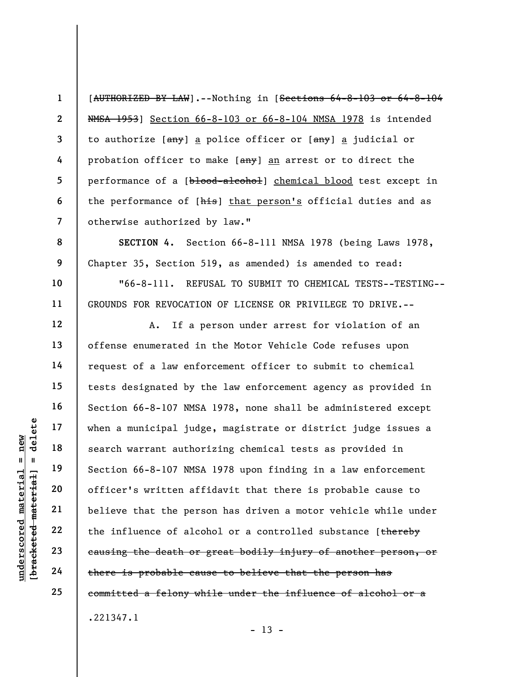1 2 3 4 5 6 7 [AUTHORIZED BY LAW].--Nothing in [Sections 64-8-103 or 64-8-104 NMSA 1953] Section 66-8-103 or 66-8-104 NMSA 1978 is intended to authorize [any] a police officer or [any] a judicial or probation officer to make [any] an arrest or to direct the performance of a [blood-alcohol] chemical blood test except in the performance of [his] that person's official duties and as otherwise authorized by law."

SECTION 4. Section 66-8-111 NMSA 1978 (being Laws 1978, Chapter 35, Section 519, as amended) is amended to read:

"66-8-111. REFUSAL TO SUBMIT TO CHEMICAL TESTS--TESTING-- GROUNDS FOR REVOCATION OF LICENSE OR PRIVILEGE TO DRIVE.--

under 17<br>
= 18<br>
= 18<br>
= 19<br>
= 19<br>
= 19<br>
= 19<br>
= 19<br>
= 19<br>
= 19<br>
= 19<br>
= 19<br>
= 19<br>
= 19<br>
= 19<br>
= 19<br>
= 19<br>
= 19<br>
= 19<br>
= 19<br>
21<br>
= 19<br>
= 19<br>
= 19<br>
= 19<br>
= 19<br>
= 19<br>
= 19<br>
= 19<br>
= 19<br>
= 19<br>
= 19<br>
= 19<br>
= 19<br>
= 19<br>
= 19<br>
= 19 A. If a person under arrest for violation of an offense enumerated in the Motor Vehicle Code refuses upon request of a law enforcement officer to submit to chemical tests designated by the law enforcement agency as provided in Section 66-8-107 NMSA 1978, none shall be administered except when a municipal judge, magistrate or district judge issues a search warrant authorizing chemical tests as provided in Section 66-8-107 NMSA 1978 upon finding in a law enforcement officer's written affidavit that there is probable cause to believe that the person has driven a motor vehicle while under the influence of alcohol or a controlled substance [thereby causing the death or great bodily injury of another person, or there is probable cause to believe that the person has committed a felony while under the influence of alcohol or a .221347.1

 $- 13 -$ 

8

9

10

11

12

13

14

15

16

17

18

19

20

21

22

23

24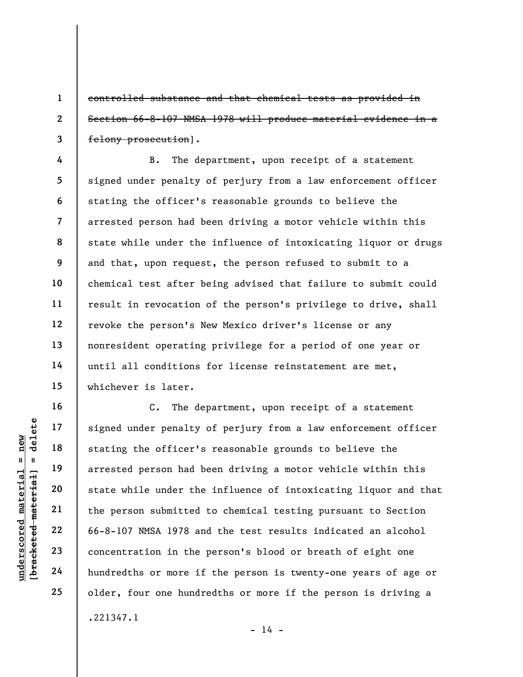controlled substance and that chemical tests as provided in Section 66-8-107 NMSA 1978 will produce material evidence in a felony prosecution].

4 5 6 7 8 9 10 11 12 13 14 15 B. The department, upon receipt of a statement signed under penalty of perjury from a law enforcement officer stating the officer's reasonable grounds to believe the arrested person had been driving a motor vehicle within this state while under the influence of intoxicating liquor or drugs and that, upon request, the person refused to submit to a chemical test after being advised that failure to submit could result in revocation of the person's privilege to drive, shall revoke the person's New Mexico driver's license or any nonresident operating privilege for a period of one year or until all conditions for license reinstatement are met, whichever is later.

16

17

18

19

20

21

22

23

24

25

1

2

3

under penalty<br>
and the distance material stating the officer's<br>
arrested person had b<br>
state while under the<br>
person submitted<br>
22<br>
23<br>
23<br>
24<br>
24<br>
24<br>
22<br>
24<br>
24<br>
22<br>
24<br>
22<br>
24<br>
22<br>
24<br>
22<br>
24<br>
22<br>
24 C. The department, upon receipt of a statement signed under penalty of perjury from a law enforcement officer stating the officer's reasonable grounds to believe the arrested person had been driving a motor vehicle within this state while under the influence of intoxicating liquor and that the person submitted to chemical testing pursuant to Section 66-8-107 NMSA 1978 and the test results indicated an alcohol concentration in the person's blood or breath of eight one hundredths or more if the person is twenty-one years of age or older, four one hundredths or more if the person is driving a .221347.1

 $- 14 -$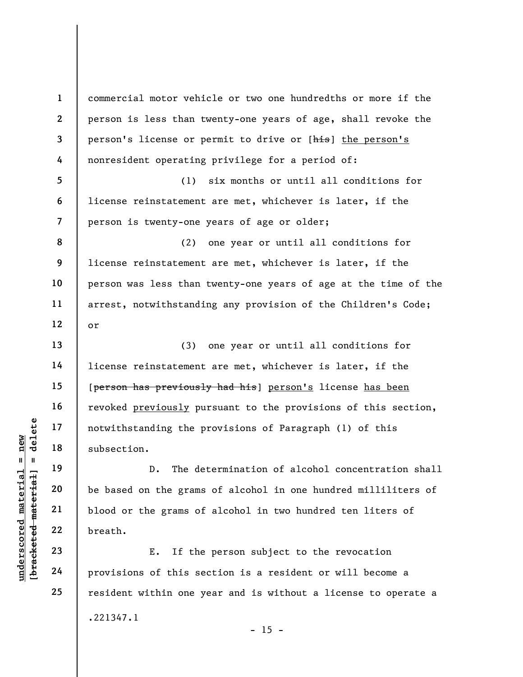1 2 3 4 5 6 7 commercial motor vehicle or two one hundredths or more if the person is less than twenty-one years of age, shall revoke the person's license or permit to drive or [his] the person's nonresident operating privilege for a period of: (1) six months or until all conditions for license reinstatement are met, whichever is later, if the person is twenty-one years of age or older;

8 9 10 11 12 (2) one year or until all conditions for license reinstatement are met, whichever is later, if the person was less than twenty-one years of age at the time of the arrest, notwithstanding any provision of the Children's Code; or

(3) one year or until all conditions for license reinstatement are met, whichever is later, if the [person has previously had his] person's license has been revoked previously pursuant to the provisions of this section, notwithstanding the provisions of Paragraph (1) of this subsection.

understanding the protection.<br>  $\begin{array}{c|c|c|c} \hline \text{u} & \text{u} & \text{u} & \text{u} \\ \hline \text{u} & \text{u} & \text{u} & \text{u} & \text{u} \\ \hline \text{u} & \text{u} & \text{u} & \text{u} & \text{u} \\ \hline \text{u} & \text{u} & \text{u} & \text{u} & \text{u} \\ \hline \text{u} & \text{u} & \text{u} & \text{u} & \text{u} \\ \hline \text{u} & \text{u} & \text{$ D. The determination of alcohol concentration shall be based on the grams of alcohol in one hundred milliliters of blood or the grams of alcohol in two hundred ten liters of breath.

E. If the person subject to the revocation provisions of this section is a resident or will become a resident within one year and is without a license to operate a .221347.1  $- 15 -$ 

13

14

15

16

17

18

19

20

21

22

23

24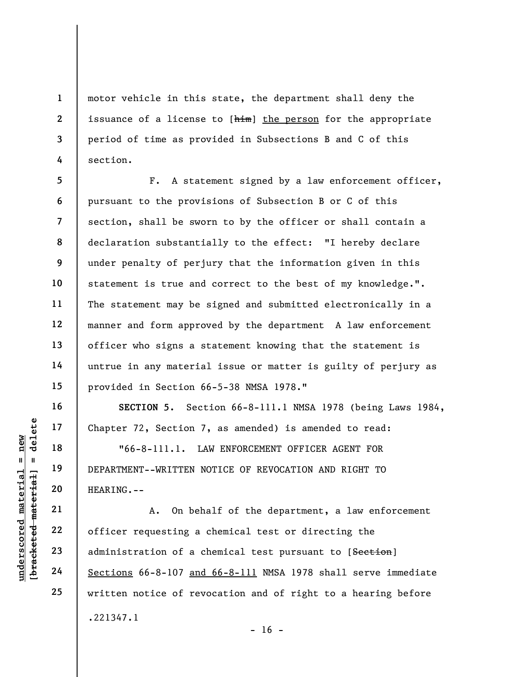motor vehicle in this state, the department shall deny the issuance of a license to [him] the person for the appropriate period of time as provided in Subsections B and C of this section.

5 6 7 8 9 10 11 12 13 14 15 F. A statement signed by a law enforcement officer, pursuant to the provisions of Subsection B or C of this section, shall be sworn to by the officer or shall contain a declaration substantially to the effect: "I hereby declare under penalty of perjury that the information given in this statement is true and correct to the best of my knowledge.". The statement may be signed and submitted electronically in a manner and form approved by the department A law enforcement officer who signs a statement knowing that the statement is untrue in any material issue or matter is guilty of perjury as provided in Section 66-5-38 NMSA 1978."

SECTION 5. Section 66-8-111.1 NMSA 1978 (being Laws 1984, Chapter 72, Section 7, as amended) is amended to read:

"66-8-111.1. LAW ENFORCEMENT OFFICER AGENT FOR DEPARTMENT--WRITTEN NOTICE OF REVOCATION AND RIGHT TO HEARING.--

UN 17<br>
18<br>
19<br>
19<br>
19<br>
19<br>
19<br>
19<br>
19<br>
DEPARTMENT--WRITTEN<br>
20<br>
HEARING.--<br>
21<br>
22<br>
officer requesting a<br>
23<br>
24<br>
<u>Sections</u> 66-8-107 and<br>
ELARING.--<br>
A. On beh<br>
24<br>
Sections 66-8-107 and A. On behalf of the department, a law enforcement officer requesting a chemical test or directing the administration of a chemical test pursuant to [Section] Sections 66-8-107 and 66-8-111 NMSA 1978 shall serve immediate written notice of revocation and of right to a hearing before .221347.1

16

17

18

19

20

21

22

23

24

25

1

2

3

4

 $- 16 -$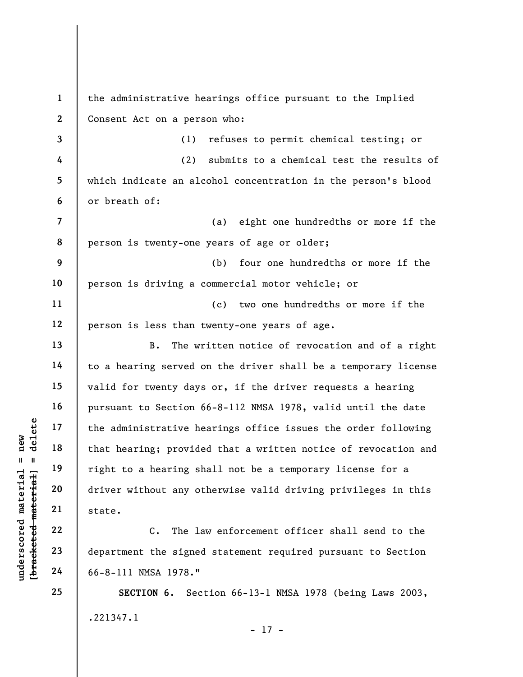understand material the administrative he<br>  $\begin{array}{c|c|c|c} \multicolumn{1}{c|}{\text{blue}} & \multicolumn{1}{c}{\text{blue}} & \multicolumn{1}{c}{\text{blue}} & \multicolumn{1}{c}{\text{blue}} & \multicolumn{1}{c}{\text{blue}} & \multicolumn{1}{c}{\text{blue}} & \multicolumn{1}{c}{\text{blue}} & \multicolumn{1}{c}{\text{blue}} & \multicolumn{1}{c}{\text{blue}} & \multicolumn{1}{c}{\text{blue}} & \multicolumn{1}{c}{\text{blue}}$ 1 2 3 4 5 6 7 8 9 10 11 12 13 14 15 16 17 18 19 20 21 22 23 24 25 the administrative hearings office pursuant to the Implied Consent Act on a person who: (1) refuses to permit chemical testing; or (2) submits to a chemical test the results of which indicate an alcohol concentration in the person's blood or breath of: (a) eight one hundredths or more if the person is twenty-one years of age or older; (b) four one hundredths or more if the person is driving a commercial motor vehicle; or (c) two one hundredths or more if the person is less than twenty-one years of age. B. The written notice of revocation and of a right to a hearing served on the driver shall be a temporary license valid for twenty days or, if the driver requests a hearing pursuant to Section 66-8-112 NMSA 1978, valid until the date the administrative hearings office issues the order following that hearing; provided that a written notice of revocation and right to a hearing shall not be a temporary license for a driver without any otherwise valid driving privileges in this state. C. The law enforcement officer shall send to the department the signed statement required pursuant to Section 66-8-111 NMSA 1978." SECTION 6. Section 66-13-1 NMSA 1978 (being Laws 2003,

.221347.1

- 17 -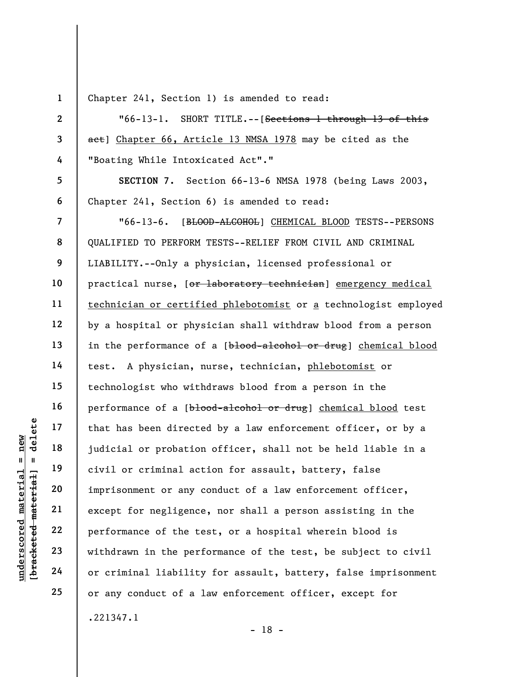1

Chapter 241, Section 1) is amended to read:

underscored material = new [bracketed material] = delete 2 3 4 5 6 7 8 9 10 11 12 13 14 15 16 17 18 19 20 21 22 23 24 25 "66-13-1. SHORT TITLE.--[Sections 1 through 13 of this act] Chapter 66, Article 13 NMSA 1978 may be cited as the "Boating While Intoxicated Act"." SECTION 7. Section 66-13-6 NMSA 1978 (being Laws 2003, Chapter 241, Section 6) is amended to read: "66-13-6. [BLOOD-ALCOHOL] CHEMICAL BLOOD TESTS--PERSONS QUALIFIED TO PERFORM TESTS--RELIEF FROM CIVIL AND CRIMINAL LIABILITY.--Only a physician, licensed professional or practical nurse, [or laboratory technician] emergency medical technician or certified phlebotomist or a technologist employed by a hospital or physician shall withdraw blood from a person in the performance of a [blood-alcohol or drug] chemical blood test. A physician, nurse, technician, phlebotomist or technologist who withdraws blood from a person in the performance of a [blood-alcohol or drug] chemical blood test that has been directed by a law enforcement officer, or by a judicial or probation officer, shall not be held liable in a civil or criminal action for assault, battery, false imprisonment or any conduct of a law enforcement officer, except for negligence, nor shall a person assisting in the performance of the test, or a hospital wherein blood is withdrawn in the performance of the test, be subject to civil or criminal liability for assault, battery, false imprisonment or any conduct of a law enforcement officer, except for .221347.1

- 18 -